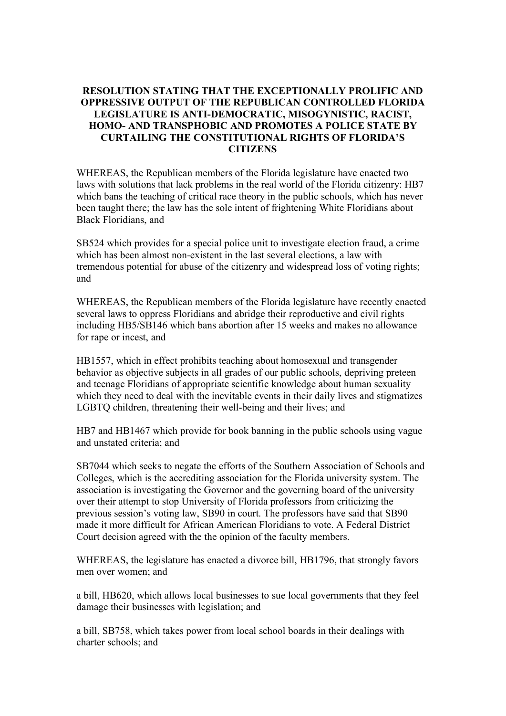## **RESOLUTION STATING THAT THE EXCEPTIONALLY PROLIFIC AND OPPRESSIVE OUTPUT OF THE REPUBLICAN CONTROLLED FLORIDA LEGISLATURE IS ANTI-DEMOCRATIC, MISOGYNISTIC, RACIST, HOMO- AND TRANSPHOBIC AND PROMOTES A POLICE STATE BY CURTAILING THE CONSTITUTIONAL RIGHTS OF FLORIDA'S CITIZENS**

WHEREAS, the Republican members of the Florida legislature have enacted two laws with solutions that lack problems in the real world of the Florida citizenry: HB7 which bans the teaching of critical race theory in the public schools, which has never been taught there; the law has the sole intent of frightening White Floridians about Black Floridians, and

SB524 which provides for a special police unit to investigate election fraud, a crime which has been almost non-existent in the last several elections, a law with tremendous potential for abuse of the citizenry and widespread loss of voting rights; and

WHEREAS, the Republican members of the Florida legislature have recently enacted several laws to oppress Floridians and abridge their reproductive and civil rights including HB5/SB146 which bans abortion after 15 weeks and makes no allowance for rape or incest, and

HB1557, which in effect prohibits teaching about homosexual and transgender behavior as objective subjects in all grades of our public schools, depriving preteen and teenage Floridians of appropriate scientific knowledge about human sexuality which they need to deal with the inevitable events in their daily lives and stigmatizes LGBTQ children, threatening their well-being and their lives; and

HB7 and HB1467 which provide for book banning in the public schools using vague and unstated criteria; and

SB7044 which seeks to negate the efforts of the Southern Association of Schools and Colleges, which is the accrediting association for the Florida university system. The association is investigating the Governor and the governing board of the university over their attempt to stop University of Florida professors from criticizing the previous session's voting law, SB90 in court. The professors have said that SB90 made it more difficult for African American Floridians to vote. A Federal District Court decision agreed with the the opinion of the faculty members.

WHEREAS, the legislature has enacted a divorce bill, HB1796, that strongly favors men over women; and

a bill, HB620, which allows local businesses to sue local governments that they feel damage their businesses with legislation; and

a bill, SB758, which takes power from local school boards in their dealings with charter schools; and